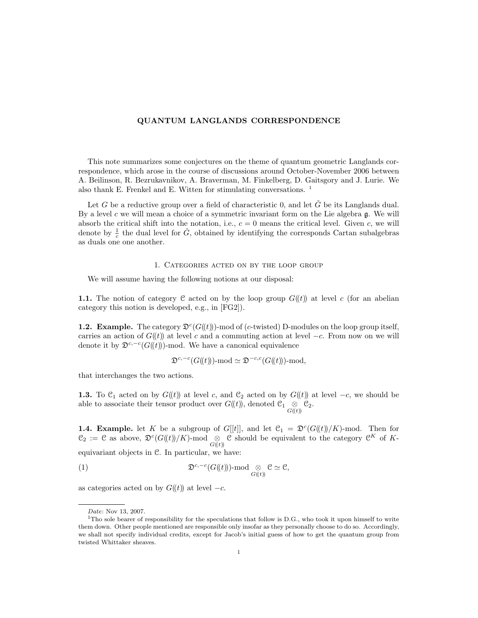## QUANTUM LANGLANDS CORRESPONDENCE

This note summarizes some conjectures on the theme of quantum geometric Langlands correspondence, which arose in the course of discussions around October-November 2006 between A. Beilinson, R. Bezrukavnikov, A. Braverman, M. Finkelberg, D. Gaitsgory and J. Lurie. We also thank E. Frenkel and E. Witten for stimulating conversations.  $<sup>1</sup>$ </sup>

Let G be a reductive group over a field of characteristic 0, and let  $\tilde{G}$  be its Langlands dual. By a level c we will mean a choice of a symmetric invariant form on the Lie algebra  $\mathfrak{g}$ . We will absorb the critical shift into the notation, i.e.,  $c = 0$  means the critical level. Given c, we will denote by  $\frac{1}{c}$  the dual level for  $\check{G}$ , obtained by identifying the corresponds Cartan subalgebras as duals one one another.

### 1. Categories acted on by the loop group

We will assume having the following notions at our disposal:

**1.1.** The notion of category C acted on by the loop group  $G((t))$  at level c (for an abelian category this notion is developed, e.g., in [FG2]).

**1.2. Example.** The category  $\mathfrak{D}^c(G(\mathfrak{k}))$ -mod of (c-twisted) D-modules on the loop group itself, carries an action of  $G(\mathfrak{t})$  at level c and a commuting action at level  $-c$ . From now on we will denote it by  $\mathfrak{D}^{c,-c}(G(\mathfrak{t}))$ -mod. We have a canonical equivalence

$$
\mathfrak{D}^{c,-c}(G(\!(t)\!))\text{-}\mathrm{mod} \simeq \mathfrak{D}^{-c,c}(G(\!(t)\!))\text{-}\mathrm{mod},
$$

that interchanges the two actions.

**1.3.** To  $C_1$  acted on by  $G(\ell t)$  at level c, and  $C_2$  acted on by  $G(\ell t)$  at level  $-c$ , we should be able to associate their tensor product over  $G(\mathfrak{t})$ , denoted  $\mathfrak{C}_1 \underset{G(\mathfrak{t}\mathfrak{t})}{\otimes} \mathfrak{C}_2$ .

**1.4. Example.** let K be a subgroup of G[[t]], and let  $\mathcal{C}_1 = \mathfrak{D}^c(G(\mathfrak{t}))/K$ -mod. Then for  $\mathcal{C}_2 := \mathcal{C}$  as above,  $\mathfrak{D}^c(G(\mathfrak{t}))/K)$ -mod  $\underset{G(\mathfrak{t}\mathfrak{t})}{\otimes} \mathcal{C}$  should be equivalent to the category  $\mathcal{C}^K$  of Kequivariant objects in C. In particular, we have:

(1) 
$$
\mathfrak{D}^{c,-c}(G(\mathfrak{k}))\text{-}\mathrm{mod} \underset{G(\mathfrak{k}t)}{\otimes} \mathfrak{C} \simeq \mathfrak{C},
$$

as categories acted on by  $G(\ell t)$  at level  $-c$ .

Date: Nov 13, 2007.

<sup>&</sup>lt;sup>1</sup>Tho sole bearer of responsibility for the speculations that follow is D.G., who took it upon himself to write them down. Other people mentioned are responsible only insofar as they personally choose to do so. Accordingly, we shall not specify individual credits, except for Jacob's initial guess of how to get the quantum group from twisted Whittaker sheaves.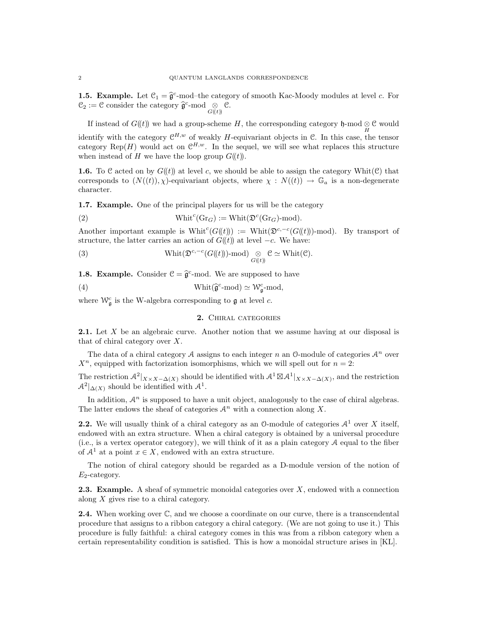**1.5. Example.** Let  $C_1 = \widehat{\mathfrak{g}}$  $c$ -mod–the category of smooth Kac-Moody modules at level  $c$ . For  $\mathcal{C}_2 := \mathcal{C}$  consider the category  $\widehat{\mathfrak{g}}^c$ -mod  $\underset{G(\ell t)}{\otimes} \mathcal{C}.$ 

If instead of  $G(\mathfrak{t})$  we had a group-scheme H, the corresponding category  $\mathfrak{h}$ -mod  $\underset{H}{\otimes} \mathfrak{C}$  would identify with the category  $\mathcal{C}^{H,w}$  of weakly H-equivariant objects in  $\mathcal{C}$ . In this case, the tensor category Rep(H) would act on  $\mathcal{C}^{H,w}$ . In the sequel, we will see what replaces this structure when instead of H we have the loop group  $G(\ell t)$ .

**1.6.** To C acted on by  $G(t)$  at level c, we should be able to assign the category Whit(C) that corresponds to  $(N((t)), \chi)$ -equivariant objects, where  $\chi : N((t)) \to \mathbb{G}_a$  is a non-degenerate character.

1.7. Example. One of the principal players for us will be the category

(2) 
$$
\text{Whit}^c(\text{Gr}_G) := \text{Whit}(\mathfrak{D}^c(\text{Gr}_G)\text{-mod}).
$$

Another important example is Whit<sup>c</sup>( $G(\mathfrak{t})$ ) := Whit( $\mathfrak{D}^{c,-c}(G(\mathfrak{t}))$ -mod). By transport of structure, the latter carries an action of  $G(\ell)$  at level  $-c$ . We have:

(3) 
$$
\operatorname{Whit}(\mathfrak{D}^{c,-c}(G(\mathfrak{k}))\text{-mod})\underset{G(\mathfrak{k}\mathfrak{k})}{\otimes} \mathfrak{C} \simeq \operatorname{Whit}(\mathfrak{C}).
$$

**1.8. Example.** Consider  $\mathcal{C} = \hat{\mathfrak{g}}^c$ -mod. We are supposed to have

(4) 
$$
\text{Whit}(\hat{\mathfrak{g}}^c\text{-mod}) \simeq \mathcal{W}^c_{\mathfrak{g}}\text{-mod},
$$

where  $\mathcal{W}_{\mathfrak{g}}^c$  is the W-algebra corresponding to  $\mathfrak g$  at level c.

## 2. Chiral categories

2.1. Let X be an algebraic curve. Another notion that we assume having at our disposal is that of chiral category over X.

The data of a chiral category A assigns to each integer n an  $\mathbb{O}$ -module of categories  $\mathcal{A}^n$  over  $X<sup>n</sup>$ , equipped with factorization isomorphisms, which we will spell out for  $n = 2$ :

The restriction  $\mathcal{A}^2|_{X\times X-\Delta(X)}$  should be identified with  $\mathcal{A}^1\boxtimes\mathcal{A}^1|_{X\times X-\Delta(X)}$ , and the restriction  $\mathcal{A}^2|_{\Delta(X)}$  should be identified with  $\mathcal{A}^1$ .

In addition,  $A<sup>n</sup>$  is supposed to have a unit object, analogously to the case of chiral algebras. The latter endows the sheaf of categories  $\mathcal{A}^n$  with a connection along X.

**2.2.** We will usually think of a chiral category as an 0-module of categories  $A<sup>1</sup>$  over X itself, endowed with an extra structure. When a chiral category is obtained by a universal procedure (i.e., is a vertex operator category), we will think of it as a plain category  $A$  equal to the fiber of  $\mathcal{A}^1$  at a point  $x \in X$ , endowed with an extra structure.

The notion of chiral category should be regarded as a D-module version of the notion of  $E_2$ -category.

**2.3. Example.** A sheaf of symmetric monoidal categories over  $X$ , endowed with a connection along X gives rise to a chiral category.

**2.4.** When working over  $\mathbb{C}$ , and we choose a coordinate on our curve, there is a transcendental procedure that assigns to a ribbon category a chiral category. (We are not going to use it.) This procedure is fully faithful: a chiral category comes in this was from a ribbon category when a certain representability condition is satisfied. This is how a monoidal structure arises in [KL].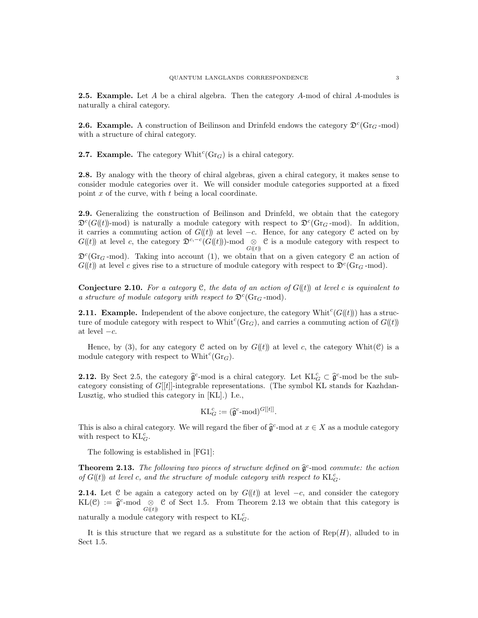**2.5. Example.** Let A be a chiral algebra. Then the category A-mod of chiral A-modules is naturally a chiral category.

**2.6. Example.** A construction of Beilinson and Drinfeld endows the category  $\mathfrak{D}^c(\text{Gr}_G\text{-mod})$ with a structure of chiral category.

**2.7. Example.** The category  $\text{Whit}^c(\text{Gr}_G)$  is a chiral category.

2.8. By analogy with the theory of chiral algebras, given a chiral category, it makes sense to consider module categories over it. We will consider module categories supported at a fixed point  $x$  of the curve, with  $t$  being a local coordinate.

2.9. Generalizing the construction of Beilinson and Drinfeld, we obtain that the category  $\mathfrak{D}^c(G(\mathfrak{t}))$ -mod) is naturally a module category with respect to  $\mathfrak{D}^c(\mathrm{Gr}_G\text{-mod})$ . In addition, it carries a commuting action of  $G(\ell t)$  at level  $-c$ . Hence, for any category C acted on by  $G(\mathfrak{t})$  at level c, the category  $\mathfrak{D}^{c,-c}(G(\mathfrak{t}))$ -mod  $\underset{G(\mathfrak{t}\mathfrak{h})}{\otimes}$  C is a module category with respect to  $\mathfrak{D}^c(\text{Gr}_G\text{-mod})$ . Taking into account (1), we obtain that on a given category  $\mathfrak C$  an action of  $G(\ell)$  at level c gives rise to a structure of module category with respect to  $\mathfrak{D}^c(\text{Gr}_G\text{-mod})$ .

**Conjecture 2.10.** For a category C, the data of an action of  $G(\mathbf{t})$  at level c is equivalent to a structure of module category with respect to  $\mathfrak{D}^c(\text{Gr}_G\text{-mod})$ .

**2.11. Example.** Independent of the above conjecture, the category Whit<sup>c</sup>( $G(\mathcal{U})$ ) has a structure of module category with respect to Whit<sup>c</sup>( $\text{Gr}_G$ ), and carries a commuting action of  $G(\ell)$ ) at level  $-c$ .

Hence, by (3), for any category C acted on by  $G((t))$  at level c, the category Whit(C) is a module category with respect to  $\text{Whit}^c(\text{Gr}_G)$ .

**2.12.** By Sect 2.5, the category  $\hat{\mathfrak{g}}^c$ -mod is a chiral category. Let  $\mathrm{KL}_G^c \subset \hat{\mathfrak{g}}^c$ -mod be the sub-<br>extensive equipment of  $C^{[[t]]}$  integrable representations. (The symbol KL stands for Kazaden category consisting of  $G[[t]]$ -integrable representations. (The symbol KL stands for Kazhdan-Lusztig, who studied this category in [KL].) I.e.,

$$
\mathrm{KL}_{G}^{c} := (\widehat{\mathfrak{g}}^c \text{-}\mathrm{mod})^{G[[t]]}.
$$

This is also a chiral category. We will regard the fiber of  $\hat{\mathfrak{g}}^c$ -mod at  $x \in X$  as a module category with regnect to  $K1 c$ with respect to  $\mathrm{KL}_{G}^{c}$ .

The following is established in [FG1]:

**Theorem 2.13.** The following two pieces of structure defined on  $\hat{\mathfrak{g}}^c$ -mod commute: the action of  $C^{(l+1)}$  at level a grad the structure of module extensive with meanest to  $K^r$ . of  $G(\!(t)\!)$  at level c, and the structure of module category with respect to  $\mathrm{KL}_G^c$ .

**2.14.** Let C be again a category acted on by  $G((t))$  at level  $-c$ , and consider the category  $KL(\mathcal{C}) := \hat{\mathfrak{g}}^c$ -mod  $\underset{G(\mathcal{U})}{\otimes} \mathcal{C}$  of Sect 1.5. From Theorem 2.13 we obtain that this category is naturally a module category with respect to  $\mathrm{KL}_G^c$ .

It is this structure that we regard as a substitute for the action of  $\text{Rep}(H)$ , alluded to in Sect 1.5.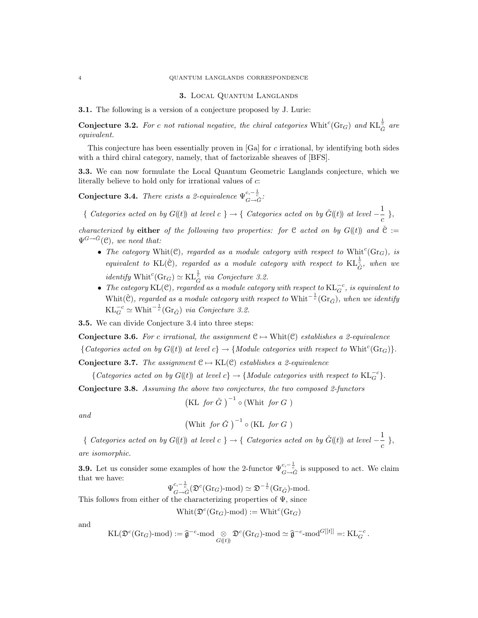### 3. Local Quantum Langlands

3.1. The following is a version of a conjecture proposed by J. Lurie:

**Conjecture 3.2.** For c not rational negative, the chiral categories  $\text{Whit}^c(\text{Gr}_G)$  and  $\text{KL}_{\tilde{G}}^{\frac{1}{c}}$  are equivalent.

This conjecture has been essentially proven in [Ga] for c irrational, by identifying both sides with a third chiral category, namely, that of factorizable sheaves of [BFS].

3.3. We can now formulate the Local Quantum Geometric Langlands conjecture, which we literally believe to hold only for irrational values of c:

Conjecture 3.4. There exists a 2-equivalence  $\Psi^{c,-\frac{1}{c}}_{G\rightarrow \check{G}}$ .

{ Categories acted on by  $G(\!(t)\!)$  at level  $c \} \rightarrow \{$  Categories acted on by  $\check{G}(\!(t)\!)$  at level  $-\frac{1}{\sqrt{2}}$  $\frac{1}{c}$ ,

characterized by either of the following two properties: for C acted on by  $G(\mathfrak{t})$  and  $\check{C}$  :=  $\Psi^{G \rightarrow \check{G}}(\mathcal{C}),$  we need that:

- The category Whit(C), regarded as a module category with respect to Whit<sup>c</sup>(Gr<sub>G</sub>), is equivalent to KL( $\check{C}$ ), regarded as a module category with respect to KL $_{\check{G}}^{\frac{1}{c}}$ , when we *identify* Whit<sup>c</sup>(Gr<sub>G</sub>)  $\simeq$  KL $_{\tilde{G}}^{\frac{1}{e}}$  *via Conjecture 3.2.*
- The category KL(C), regarded as a module category with respect to  $\mathrm{KL}_{G}^{-c}$ , is equivalent to Whit(Č), regarded as a module category with respect to Whit<sup>- $\frac{1}{c}$ </sup>(Gr<sub> $\check{G}$ </sub>), when we identify  $KL_G^{-c} \simeq \text{Whit}^{-\frac{1}{c}}(\text{Gr}_{\check{G}})$  via Conjecture 3.2.

3.5. We can divide Conjecture 3.4 into three steps:

Conjecture 3.6. For c irrational, the assignment  $C \mapsto$  Whit $(C)$  establishes a 2-equivalence

{Categories acted on by  $G(\mathfrak{t})$  at level  $c$ }  $\rightarrow$  {Module categories with respect to Whit<sup>c</sup>(Gr<sub>G</sub>)}.

Conjecture 3.7. The assignment  $C \mapsto KL(C)$  establishes a 2-equivalence

{Categories acted on by  $G(\mathfrak{t})$  at level  $c$ }  $\rightarrow$  {Module categories with respect to  $\mathrm{KL}_{G}^{-c}$ }.

Conjecture 3.8. Assuming the above two conjectures, the two composed 2-functors

(KL for 
$$
\check{G}
$$
)<sup>-1</sup> o (Whit for  $G$ )

and

$$
\left(\text{Whit } \text{for } \check{G} \right)^{-1} \circ (\text{KL } \text{for } G \text{)}
$$

{ Categories acted on by  $G(\mathfrak{t})$  at level  $c \rightarrow \rightarrow \{$  Categories acted on by  $\check{G}(\mathfrak{t})$  at level  $-\frac{1}{2}$  $\frac{1}{c}$ , are isomorphic.

**3.9.** Let us consider some examples of how the 2-functor  $\Psi_{G\to \tilde{G}}^{c,-\frac{1}{c}}$  is supposed to act. We claim that we have:

$$
\Psi^{c,-\frac{1}{c}}_{G\rightarrow \check{G}}(\mathfrak{D}^c(\text{Gr}_G)\text{-}\mathrm{mod})\simeq \mathfrak{D}^{-\frac{1}{c}}(\text{Gr}_{\check{G}})\text{-}\mathrm{mod}.
$$

This follows from either of the characterizing properties of  $\Psi$ , since

$$
\text{Whit}(\mathfrak{D}^c(\text{Gr}_G)\text{-mod}) := \text{Whit}^c(\text{Gr}_G)
$$

and

$$
\mathrm{KL}(\mathfrak{D}^c(\mathrm{Gr}_G)\text{-}\mathrm{mod}) := \widehat{\mathfrak{g}}^{-c}\text{-}\mathrm{mod}\underset{G(\!(t)\!)}{\otimes}\mathfrak{D}^c(\mathrm{Gr}_G)\text{-}\mathrm{mod}\simeq \widehat{\mathfrak{g}}^{-c}\text{-}\mathrm{mod}^{G[[t]]}=: \mathrm{KL}_G^{-c}\,.
$$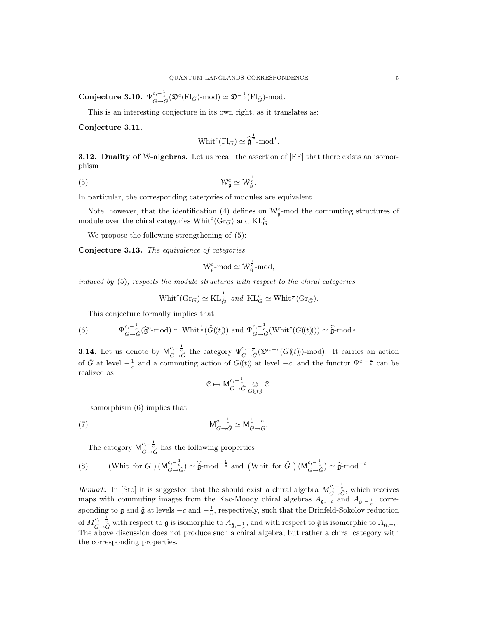Conjecture 3.10.  $\Psi^{c,-\frac{1}{c}}_{G\to \tilde G}(\mathfrak{D}^c({\rm Fl}_G)\operatorname{\!-mod})\simeq \mathfrak{D}^{-\frac{1}{c}}({\rm Fl}_{\tilde G})\operatorname{\!-mod}.$ 

This is an interesting conjecture in its own right, as it translates as:

Conjecture 3.11.

$$
\text{Whit}^c(\text{Fl}_G) \simeq \hat{\check{\mathfrak{g}}}^{\frac{1}{c}} \text{-mod}^{\check{I}}.
$$

**3.12. Duality of W-algebras.** Let us recall the assertion of [FF] that there exists an isomorphism

$$
(5) \t\t W_{\mathfrak{g}}^c \simeq \mathcal{W}_{\tilde{\mathfrak{g}}}^{\frac{1}{c}}.
$$

In particular, the corresponding categories of modules are equivalent.

Note, however, that the identification (4) defines on  $\mathcal{W}_{\mathfrak{g}}^c$ -mod the commuting structures of module over the chiral categories  $\text{Whit}^c(\text{Gr}_G)$  and  $\text{KL}_G^c$ .

We propose the following strengthening of  $(5)$ :

Conjecture 3.13. The equivalence of categories

$$
\mathcal{W}^c_{\mathfrak{g}}\text{-}\mathrm{mod} \simeq \mathcal{W}^{\frac{1}{c}}_{\check{\mathfrak{g}}}\text{-}\mathrm{mod},
$$

induced by (5), respects the module structures with respect to the chiral categories

$$
\text{Whit}^c(\text{Gr}_G) \simeq \text{KL}_{\check{G}}^{\frac{1}{c}} \text{ and } \text{KL}_{G}^c \simeq \text{Whit}^{\frac{1}{c}}(\text{Gr}_{\check{G}}).
$$

This conjecture formally implies that

(6) 
$$
\Psi_{G \to \tilde{G}}^{c, -\frac{1}{c}}(\hat{\mathfrak{g}}^c \text{-mod}) \simeq \text{Whit}^{\frac{1}{c}}(\check{G}(\!(t)\!)) \text{ and } \Psi_{G \to \tilde{G}}^{c, -\frac{1}{c}}(\text{Whit}^c(G(\!(t)\!))) \simeq \hat{\tilde{\mathfrak{g}}} \text{-mod}^{\frac{1}{c}}.
$$

**3.14.** Let us denote by  $M_{G \to \tilde{G}}^{c,-\frac{1}{c}}$  the category  $\Psi_{G \to \tilde{G}}^{c,-\frac{1}{c}}(\mathfrak{D}^{c,-c}(G(\mathbf{k})))$ -mod). It carries an action of  $\check{G}$  at level  $-\frac{1}{c}$  and a commuting action of  $G(\mathfrak{t})$  at level  $-c$ , and the functor  $\Psi^{c,-\frac{1}{c}}$  can be realized as

$$
\mathcal{C}\mapsto \mathsf{M}^{c,-\frac{1}{c}}_{G\to \check{G}}\underset{G(\!(t)\!)}{\otimes}\mathcal{C}.
$$

Isomorphism (6) implies that

$$
\mathsf{M}_{G \to \check{G}}^{c, -\frac{1}{c}} \simeq \mathsf{M}_{\check{G} \to \check{G}}^{\frac{1}{c}, -c}.
$$

The category  $\mathsf{M}^{c,-\frac{1}{c}}_{G\to \tilde{G}}$  has the following properties

(8) (Whit for 
$$
G
$$
)  $(\mathsf{M}_{G \to \check{G}}^{c, -\frac{1}{c}}) \simeq \hat{\mathfrak{g}} \text{-mod}^{-\frac{1}{c}}$  and (Whit for  $\check{G}$ )  $(\mathsf{M}_{G \to \check{G}}^{c, -\frac{1}{c}}) \simeq \hat{\mathfrak{g}} \text{-mod}^{-c}$ .

Remark. In [Sto] it is suggested that the should exist a chiral algebra  $M_{G\to \tilde{G}}^{c,-\frac{1}{c}}$ , which receives maps with commuting images from the Kac-Moody chiral algebras  $A_{\mathfrak{g},-c}$  and  $A_{\mathfrak{g},-\frac{1}{c}}$ , corresponding to  $\mathfrak g$  and  $\tilde{\mathfrak g}$  at levels  $-c$  and  $-\frac{1}{c}$ , respectively, such that the Drinfeld-Sokolov reduction of  $M_{G\to \check{G}}^{c,-\frac{1}{c}}$  with respect to  $\mathfrak g$  is isomorphic to  $A_{\check{\mathfrak g},-\frac{1}{c}}$ , and with respect to  $\check{\mathfrak g}$  is isomorphic to  $A_{\mathfrak g,-c}$ . The above discussion does not produce such a chiral algebra, but rather a chiral category with the corresponding properties.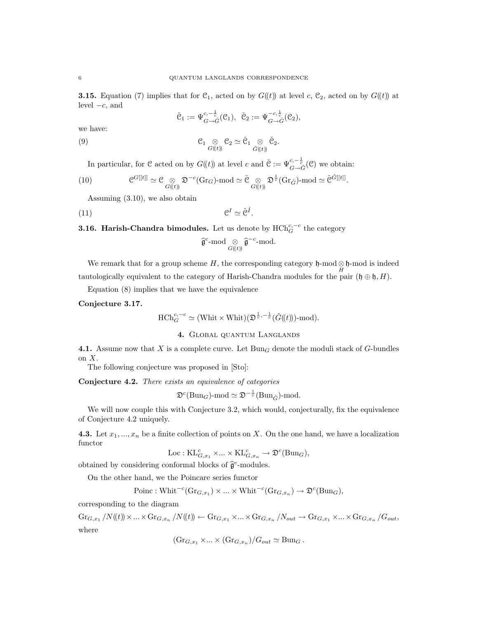**3.15.** Equation (7) implies that for  $C_1$ , acted on by  $G(\ell t)$  at level c,  $C_2$ , acted on by  $G(\ell t)$  at level  $-c$ , and

$$
\check{\mathfrak{C}}_1 := \Psi^{c,-\frac{1}{c}}_{G \to \check{G}}(\mathfrak{C}_1), \ \check{\mathfrak{C}}_2 := \Psi^{-c,\frac{1}{c}}_{G \to \check{G}}(\mathfrak{C}_2),
$$

we have:

(9) 
$$
\mathcal{C}_1 \underset{G((t))}{\otimes} \mathcal{C}_2 \simeq \check{\mathcal{C}}_1 \underset{\check{G}((t))}{\otimes} \check{\mathcal{C}}_2.
$$

In particular, for  $\mathcal C$  acted on by  $G(\!(t)\!)$  at level  $c$  and  $\check{\mathcal C} := \Psi^{c,-\frac{1}{c}}_{G \to \check{G}}(\mathcal C)$  we obtain:

(10) 
$$
\mathcal{C}^{G[[t]]} \simeq \mathcal{C} \underset{G((t))}{\otimes} \mathfrak{D}^{-c}(\text{Gr}_G)\text{-mod} \simeq \check{\mathcal{C}} \underset{G((t))}{\otimes} \mathfrak{D}^{\frac{1}{c}}(\text{Gr}_{\check{G}})\text{-mod} \simeq \check{\mathcal{C}}^{\check{G}[[t]]}.
$$

Assuming (3.10), we also obtain

(11) C I ' CˇI<sup>ˇ</sup> .

**3.16. Harish-Chandra bimodules.** Let us denote by  $HCh_G^{c,-c}$  the category

$$
\widehat{\mathfrak{g}}^c\text{-mod} \underset{G(\!(t)\!)}{\otimes} \widehat{\mathfrak{g}}^{-c}\text{-mod}.
$$

We remark that for a group scheme  $H$ , the corresponding category  $\mathfrak{h}\text{-mod}\otimes \mathfrak{h}\text{-mod}$  is indeed tautologically equivalent to the category of Harish-Chandra modules for the pair  $(\mathfrak{h} \oplus \mathfrak{h}, H)$ .

Equation (8) implies that we have the equivalence

Conjecture 3.17.

$$
\text{HCh}_G^{c,-c} \simeq (\text{Whit} \times \text{Whit}) (\mathfrak{D}^{\frac{1}{c}, -\frac{1}{c}} (\check{G}(\!(t)\!))\text{-mod}).
$$

# 4. Global quantum Langlands

4.1. Assume now that X is a complete curve. Let  $Bun_G$  denote the moduli stack of G-bundles on  $X$ .

The following conjecture was proposed in [Sto]:

Conjecture 4.2. There exists an equivalence of categories

$$
\mathfrak{D}^c(\text{Bun}_G)\text{-mod} \simeq \mathfrak{D}^{-\frac{1}{c}}(\text{Bun}_{\check{G}})\text{-mod}.
$$

We will now couple this with Conjecture 3.2, which would, conjecturally, fix the equivalence of Conjecture 4.2 uniquely.

4.3. Let  $x_1, ..., x_n$  be a finite collection of points on X. On the one hand, we have a localization functor

$$
\mathrm{Loc}:{\mathrm{KL}}^c_{G,x_1}\times\ldots\times {\mathrm{KL}}^c_{G,x_n}\rightarrow \mathfrak{D}^c(\mathrm{Bun}_G),
$$

obtained by considering conformal blocks of  $\hat{\mathfrak{g}}^c$ -modules.

On the other hand, we the Poincare series functor

Poinc: Whit<sup>-c</sup>(Gr<sub>G,x<sub>1</sub></sub>) 
$$
\times
$$
 ...  $\times$  Whit<sup>-c</sup>(Gr<sub>G,x<sub>n</sub></sub>)  $\rightarrow$   $\mathfrak{D}^c$ (Bun<sub>G</sub>),

corresponding to the diagram

 $\operatorname{Gr}_{G,x_1}/N(\!(t)\!) \times ... \times \operatorname{Gr}_{G,x_n}/N(\!(t)\!) \leftarrow \operatorname{Gr}_{G,x_1} \times ... \times \operatorname{Gr}_{G,x_n}/N_{out} \rightarrow \operatorname{Gr}_{G,x_1} \times ... \times \operatorname{Gr}_{G,x_n}/G_{out},$ where

$$
(\mathrm{Gr}_{G,x_1} \times ... \times (\mathrm{Gr}_{G,x_n})/G_{out} \simeq \mathrm{Bun}_G.
$$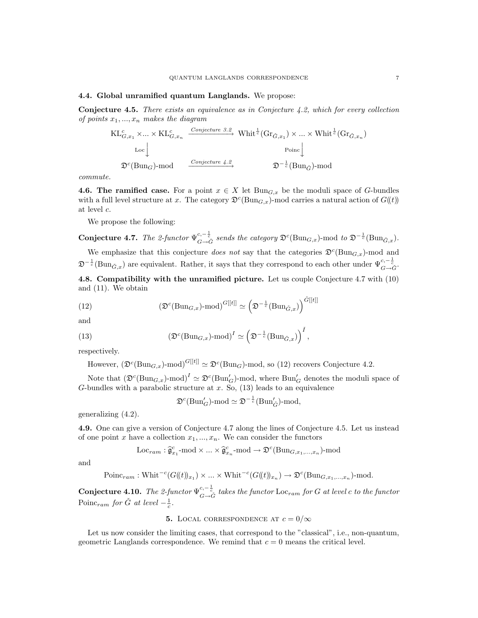### 4.4. Global unramified quantum Langlands. We propose:

Conjecture 4.5. There exists an equivalence as in Conjecture 4.2, which for every collection of points  $x_1, ..., x_n$  makes the diagram

$$
\text{KL}_{G,x_1}^c \times \dots \times \text{KL}_{G,x_n}^c \xrightarrow{Conjecture 3.2} \text{Whit}^{\frac{1}{c}}(\text{Gr}_{\check{G},x_1}) \times \dots \times \text{Whit}^{\frac{1}{c}}(\text{Gr}_{\check{G},x_n})
$$
  
\n
$$
\text{Loc}\downarrow \qquad \text{Poinc}\downarrow
$$
  
\n
$$
\mathfrak{D}^c(\text{Bun}_G)\text{-mod} \xrightarrow{Conjecture 4.2} \mathfrak{D}^{-\frac{1}{c}}(\text{Bun}_{\check{G}})\text{-mod}
$$

commute.

4.6. The ramified case. For a point  $x \in X$  let  $Bun_{G,x}$  be the moduli space of G-bundles with a full level structure at x. The category  $\mathfrak{D}^c(\text{Bun}_{G,x})$ -mod carries a natural action of  $G(\!(t)\!)$ at level c.

We propose the following:

**Conjecture 4.7.** The 2-functor  $\Psi_{G \to \tilde{G}}^{c, -\frac{1}{c}}$  sends the category  $\mathfrak{D}^c(\text{Bun}_{G,x})$ -mod to  $\mathfrak{D}^{-\frac{1}{c}}(\text{Bun}_{\tilde{G},x})$ .

We emphasize that this conjecture *does not* say that the categories  $\mathfrak{D}^c(\text{Bun}_{G,x})$ -mod and  $\mathfrak{D}^{-\frac{1}{c}}(\text{Bun}_{\tilde{G},x})$  are equivalent. Rather, it says that they correspond to each other under  $\Psi_{G\to \tilde{G}}^{c,-\frac{1}{c}}$ .

4.8. Compatibility with the unramified picture. Let us couple Conjecture 4.7 with (10) and (11). We obtain

(12) 
$$
(\mathfrak{D}^c(\text{Bun}_{G,x})\text{-mod})^{G[[t]]} \simeq \left(\mathfrak{D}^{-\frac{1}{c}}(\text{Bun}_{\check{G},x})\right)^{\check{G}[[t]]}
$$

and

(13) 
$$
\left(\mathfrak{D}^c(\text{Bun}_{G,x})\text{-mod}\right)^I \simeq \left(\mathfrak{D}^{-\frac{1}{c}}(\text{Bun}_{\check{G},x})\right)^{\check{I}},
$$

respectively.

However,  $(\mathfrak{D}^c(\text{Bun}_{G,x})\text{-mod})^{G[[t]]} \simeq \mathfrak{D}^c(\text{Bun}_G)\text{-mod}$ , so (12) recovers Conjecture 4.2.

Note that  $(\mathfrak{D}^c(\text{Bun}_{G,x})\text{-mod})^I \simeq \mathfrak{D}^c(\text{Bun}'_G)$ -mod, where  $\text{Bun}'_G$  denotes the moduli space of G-bundles with a parabolic structure at  $x$ . So,  $(13)$  leads to an equivalence

 $\mathfrak{D}^c(\text{Bun}'_G)\text{-mod} \simeq \mathfrak{D}^{-\frac{1}{c}}(\text{Bun}'_{\check{G}})\text{-mod},$ 

generalizing (4.2).

4.9. One can give a version of Conjecture 4.7 along the lines of Conjecture 4.5. Let us instead of one point x have a collection  $x_1, ..., x_n$ . We can consider the functors

$$
\text{Loc}_{ram}: \widehat{\mathfrak{g}}_{x_1}^c \text{-mod} \times ... \times \widehat{\mathfrak{g}}_{x_n}^c \text{-mod} \to \mathfrak{D}^c(\text{Bun}_{G,x_1,...,x_n}) \text{-mod}
$$

and

Poinc<sub>ram</sub>: Whit<sup>-c</sup>(G((t))<sub>x<sub>1</sub></sub>) × ... × Whit<sup>-c</sup>(G((t))<sub>x<sub>n</sub></sub>) 
$$
\rightarrow \mathfrak{D}^c(\text{Bun}_{G,x_1,...,x_n})
$$
-mod.

**Conjecture 4.10.** The 2-functor  $\Psi^{c,-\frac{1}{c}}_{G\to \check{G}}$  takes the functor Loc<sub>ram</sub> for G at level c to the functor Poinc<sub>ram</sub> for  $\check{G}$  at level  $-\frac{1}{c}$ .

## **5.** LOCAL CORRESPONDENCE AT  $c = 0/\infty$

Let us now consider the limiting cases, that correspond to the "classical", i.e., non-quantum, geometric Langlands correspondence. We remind that  $c = 0$  means the critical level.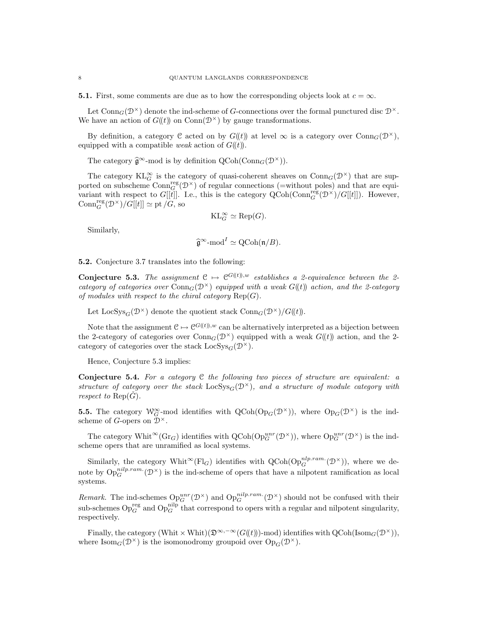**5.1.** First, some comments are due as to how the corresponding objects look at  $c = \infty$ .

Let  $Conn_G(\mathcal{D}^{\times})$  denote the ind-scheme of G-connections over the formal punctured disc  $\mathcal{D}^{\times}$ . We have an action of  $G(\mathfrak{t})$  on  $Conn(\mathfrak{D}^{\times})$  by gauge transformations.

By definition, a category C acted on by  $G(\ell)$  at level  $\infty$  is a category over Conn<sub>G</sub>( $\mathcal{D}^{\times}$ ), equipped with a compatible *weak* action of  $G(\mathfrak{t})$ .

The category  $\hat{\mathfrak{g}}^{\infty}$ -mod is by definition  $\mathrm{QCoh}(\mathrm{Conn}_G(\mathcal{D}^{\times}))$ .

The category  $\mathrm{KL}_{G}^{\infty}$  is the category of quasi-coherent sheaves on  $\mathrm{Conn}_{G}(\mathcal{D}^{\times})$  that are supported on subscheme  $Conn_G^{\text{reg}}(\mathcal{D}^{\times})$  of regular connections (=without poles) and that are equivariant with respect to  $G[[t]]$ . I.e., this is the category  $\text{QCoh}(\text{Conn}_G^{\text{reg}}(\mathcal{D}^{\times})/G[[t]])$ . However,  $\mathrm{Conn}_{G}^{\mathrm{reg}}(\mathcal{D}^{\times})/G[[t]] \simeq \mathrm{pt}/G,$  so

$$
\mathrm{KL}_{G}^{\infty} \simeq \mathrm{Rep}(G).
$$

Similarly,

$$
\widehat{\mathfrak{g}}^{\infty}\text{-mod}^I \simeq \text{QCoh}(\mathfrak{n}/B).
$$

5.2. Conjecture 3.7 translates into the following:

**Conjecture 5.3.** The assignment  $C \mapsto C^{G((t))w}$  establishes a 2-equivalence between the 2category of categories over  $Conn_G(\mathcal{D}^{\times})$  equipped with a weak  $G(\mathfrak{t})$  action, and the 2-category of modules with respect to the chiral category  $\text{Rep}(G)$ .

Let  $\text{LocSys}_{G}(\mathcal{D}^{\times})$  denote the quotient stack  $\text{Conn}_{G}(\mathcal{D}^{\times})/G(\ell)$ .

Note that the assignment  $\mathcal{C} \mapsto \mathcal{C}^{G((t)),w}$  can be alternatively interpreted as a bijection between the 2-category of categories over  $Com_G(\mathcal{D}^{\times})$  equipped with a weak  $G(\ell)$  action, and the 2category of categories over the stack  $\text{LocSys}_{\text{C}}(\mathcal{D}^{\times}).$ 

Hence, Conjecture 5.3 implies:

**Conjecture 5.4.** For a category  $C$  the following two pieces of structure are equivalent: a structure of category over the stack LocSys<sub>G</sub>( $\mathcal{D}^{\times}$ ), and a structure of module category with respect to  $\text{Rep}(\hat{G})$ .

**5.5.** The category  $W_G^{\infty}$ -mod identifies with  $Q\text{Coh}(\text{Op}_G(\mathcal{D}^{\times}))$ , where  $\text{Op}_G(\mathcal{D}^{\times})$  is the indscheme of G-opers on  $\mathcal{D}^{\times}$ .

The category Whit<sup>∞</sup>(Gr<sub>G</sub>) identifies with QCoh(Op<sup>unr</sup>(D<sup>×</sup>)), where Op<sub>G</sub><sup>unr</sup>(D<sup>×</sup>) is the indscheme opers that are unramified as local systems.

Similarly, the category Whit<sup>∞</sup>(Fl<sub>G</sub>) identifies with QCoh(Op<sub>C</sub><sup>nlp.ram.</sup>(D<sup>×</sup>)), where we denote by  $Op_G^{nilp,ram.}(\mathcal{D}^{\times})$  is the ind-scheme of opers that have a nilpotent ramification as local systems.

Remark. The ind-schemes  $Op_G^{unr}(\mathcal{D}^{\times})$  and  $Op_G^{nilp,ram.}(\mathcal{D}^{\times})$  should not be confused with their sub-schemes  $Op_G^{\text{reg}}$  and  $Op_G^{\text{nilp}}$  that correspond to opers with a regular and nilpotent singularity, respectively.

Finally, the category (Whit  $\times$  Whit)( $\mathfrak{D}^{\infty,-\infty}(G(\mathfrak{t}))$ -mod) identifies with  $QCoh(\mathrm{Isom}_G(\mathcal{D}^{\times}))$ , where  $\text{Isom}_G(\mathcal{D}^{\times})$  is the isomonodromy groupoid over  $\text{Op}_G(\mathcal{D}^{\times})$ .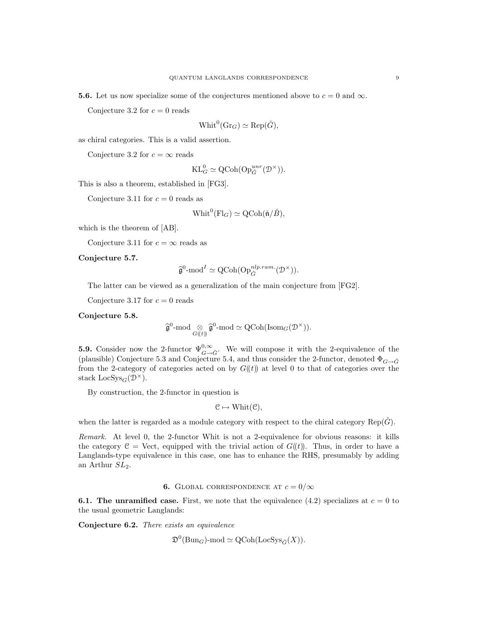**5.6.** Let us now specialize some of the conjectures mentioned above to  $c = 0$  and  $\infty$ .

Conjecture 3.2 for  $c = 0$  reads

$$
Whit^0(\mathrm{Gr}_G) \simeq \mathrm{Rep}(\check{G}),
$$

as chiral categories. This is a valid assertion.

Conjecture 3.2 for  $c = \infty$  reads

$$
\mathrm{KL}_{G}^{0} \simeq \mathrm{QCoh}(\mathrm{Op}^{unr}_{G}(\mathcal{D}^{\times})).
$$

This is also a theorem, established in [FG3].

Conjecture 3.11 for  $c = 0$  reads as

$$
Whit^0(\mathrm{Fl}_G) \simeq \mathrm{QCoh}(\check{\mathfrak{n}}/\check{B}),
$$

which is the theorem of [AB].

Conjecture 3.11 for  $c = \infty$  reads as

Conjecture 5.7.

$$
\widehat{\mathfrak{g}}^0\text{-mod}^I \simeq \text{QCoh}(\text{Op}_{\check{G}}^{nlp,ram.}(\mathcal{D}^\times)).
$$

The latter can be viewed as a generalization of the main conjecture from [FG2].

Conjecture 3.17 for  $c = 0$  reads

Conjecture 5.8.

$$
\widehat{\mathfrak{g}}^0\text{-}\mathrm{mod}\underset{G(\!(t)\!)}{\otimes}\widehat{\mathfrak{g}}^0\text{-}\mathrm{mod}\simeq \mathrm{QCoh}(\mathrm{Isom}_G(\mathcal{D}^\times)).
$$

**5.9.** Consider now the 2-functor  $\Psi_{G \to \tilde{G}}^{0, \infty}$ . We will compose it with the 2-equivalence of the (plausible) Conjecture 5.3 and Conjecture 5.4, and thus consider the 2-functor, denoted  $\Phi_{G\to\tilde{G}}$ from the 2-category of categories acted on by  $G(\ell)$  at level 0 to that of categories over the stack  $\text{LocSys}_G(\mathcal{D}^{\times}).$ 

By construction, the 2-functor in question is

$$
\mathcal{C} \mapsto \text{Whit}(\mathcal{C}),
$$

when the latter is regarded as a module category with respect to the chiral category  $\text{Rep}(G)$ .

Remark. At level 0, the 2-functor Whit is not a 2-equivalence for obvious reasons: it kills the category  $\mathcal{C} = \text{Vect}$ , equipped with the trivial action of  $G(\mathcal{U})$ . Thus, in order to have a Langlands-type equivalence in this case, one has to enhance the RHS, presumably by adding an Arthur  $SL<sub>2</sub>$ .

## 6. GLOBAL CORRESPONDENCE AT  $c = 0/\infty$

**6.1. The unramified case.** First, we note that the equivalence (4.2) specializes at  $c = 0$  to the usual geometric Langlands:

Conjecture 6.2. There exists an equivalence

$$
\mathfrak{D}^0(\text{Bun}_G)\text{-mod} \simeq \text{QCoh}(\text{LocSys}_{\check{G}}(X)).
$$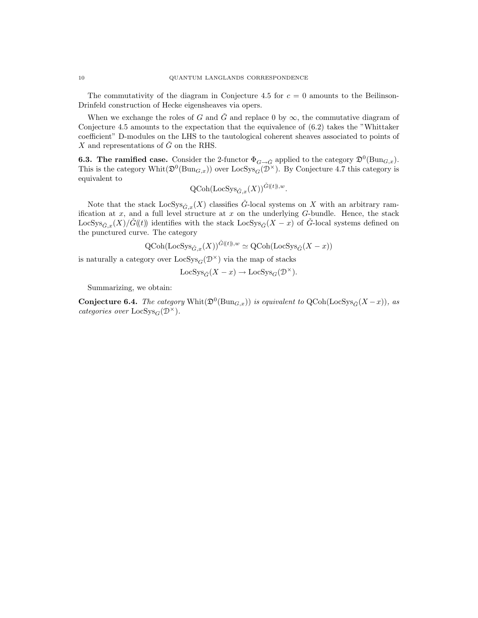The commutativity of the diagram in Conjecture 4.5 for  $c = 0$  amounts to the Beilinson-Drinfeld construction of Hecke eigensheaves via opers.

When we exchange the roles of G and  $\tilde{G}$  and replace 0 by  $\infty$ , the commutative diagram of Conjecture 4.5 amounts to the expectation that the equivalence of (6.2) takes the "Whittaker coefficient" D-modules on the LHS to the tautological coherent sheaves associated to points of X and representations of  $\check{G}$  on the RHS.

**6.3. The ramified case.** Consider the 2-functor  $\Phi_{G \to \check{G}}$  applied to the category  $\mathfrak{D}^0(\text{Bun}_{G,x})$ . This is the category  $\text{Whit}(\mathfrak{D}^0(\text{Bun}_{G,x}))$  over  $\text{LocSys}_{G}(\mathfrak{D}^{\times})$ . By Conjecture 4.7 this category is equivalent to

$$
\text{QCoh}(\text{LocSys}_{\check{G},x}(X))^{\check{G}(\!(t)\!), w}.
$$

Note that the stack  $LocSys_{\check{G},x}(X)$  classifies  $\check{G}$ -local systems on X with an arbitrary ramification at  $x$ , and a full level structure at  $x$  on the underlying  $G$ -bundle. Hence, the stack LocSys<sub> $\tilde{G}_x(X)/\tilde{G}(\ell)$  identifies with the stack LocSys $\tilde{G}(X-x)$  of  $\tilde{G}$ -local systems defined on</sub> the punctured curve. The category

$$
\text{QCoh}(\text{LocSys}_{\check{G},x}(X))^{\check{G}(t),w} \simeq \text{QCoh}(\text{LocSys}_{\check{G}}(X-x))
$$

is naturally a category over  $\text{LocSys}_G(\mathcal{D}^{\times})$  via the map of stacks

$$
\text{LocSys}_{\check{G}}(X-x)\to \text{LocSys}_G(\mathcal{D}^{\times}).
$$

Summarizing, we obtain:

**Conjecture 6.4.** The category  $\text{Whit}(\mathfrak{D}^0(\text{Bun}_{G,x}))$  is equivalent to  $\text{QCoh}(\text{LocSys}_{\check{G}}(X-x))$ , as categories over  $\text{LocSys}_G(\mathcal{D}^{\times})$ .